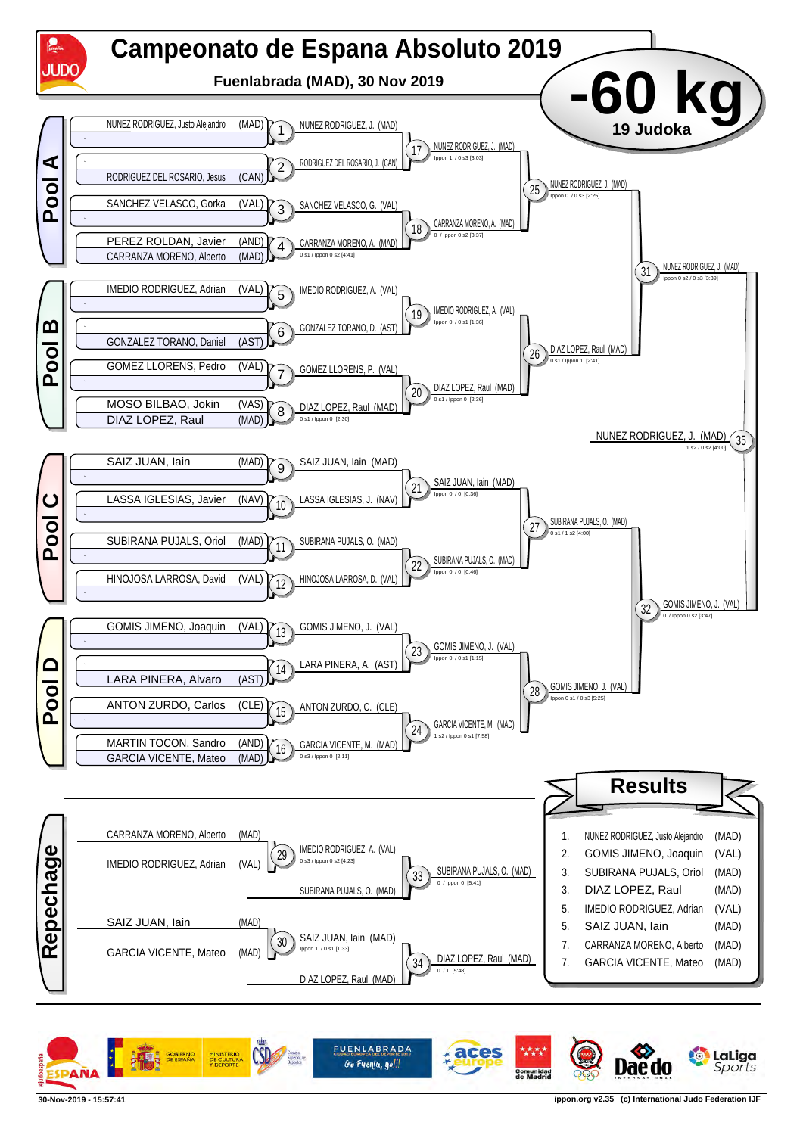

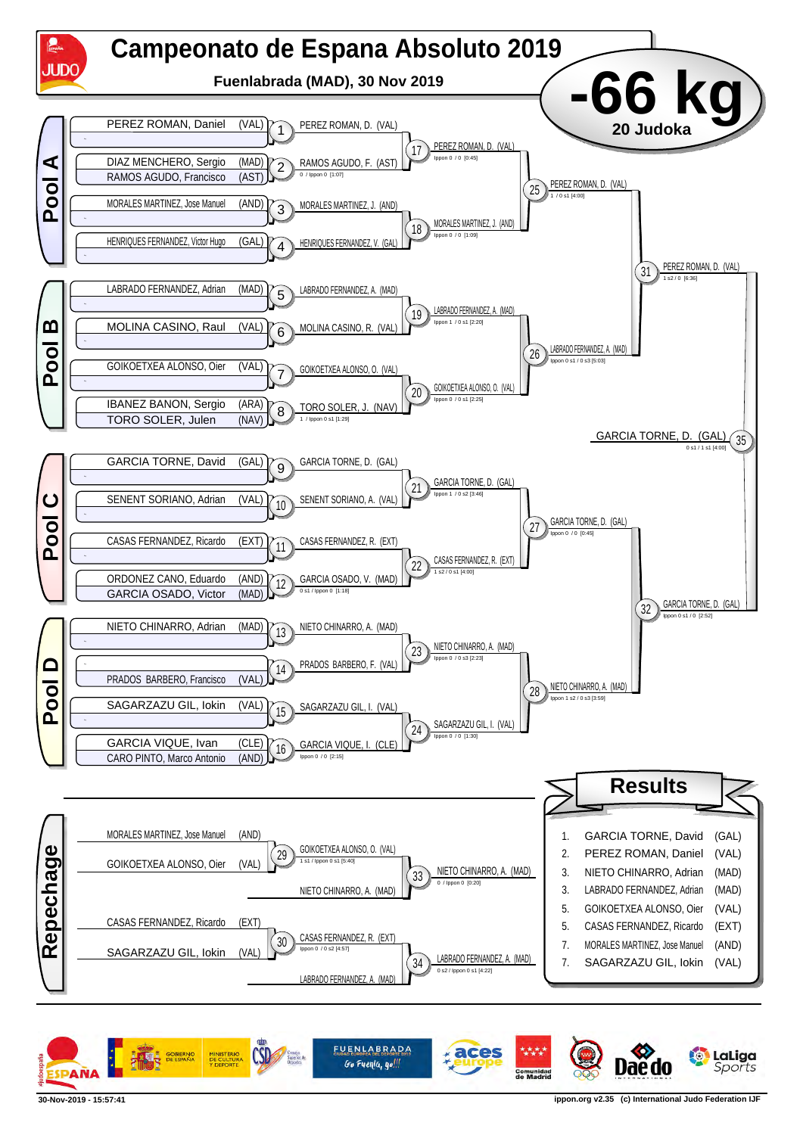

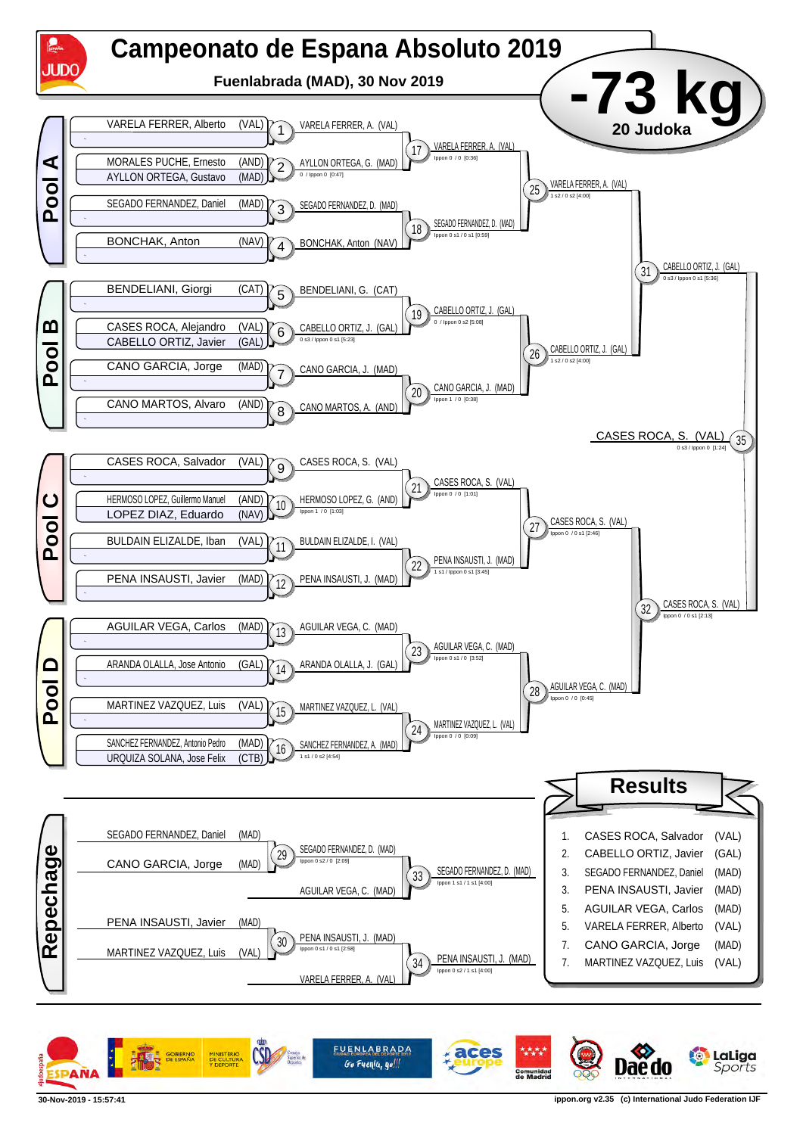

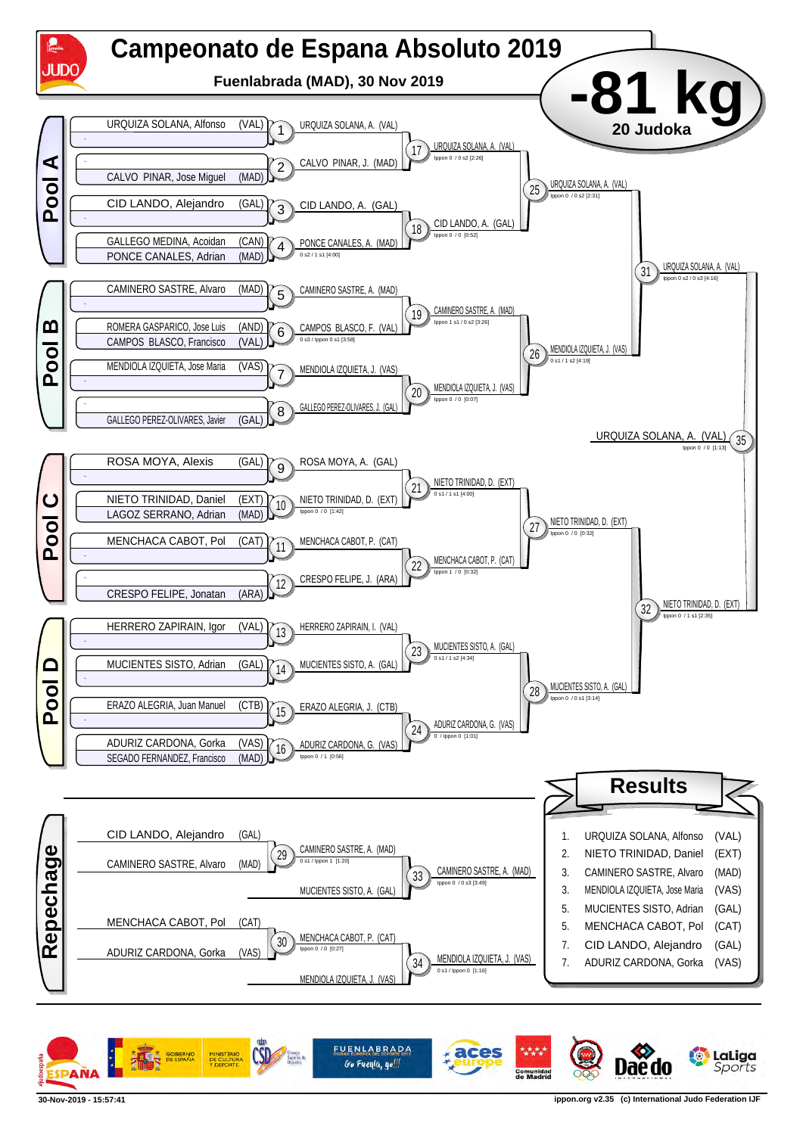

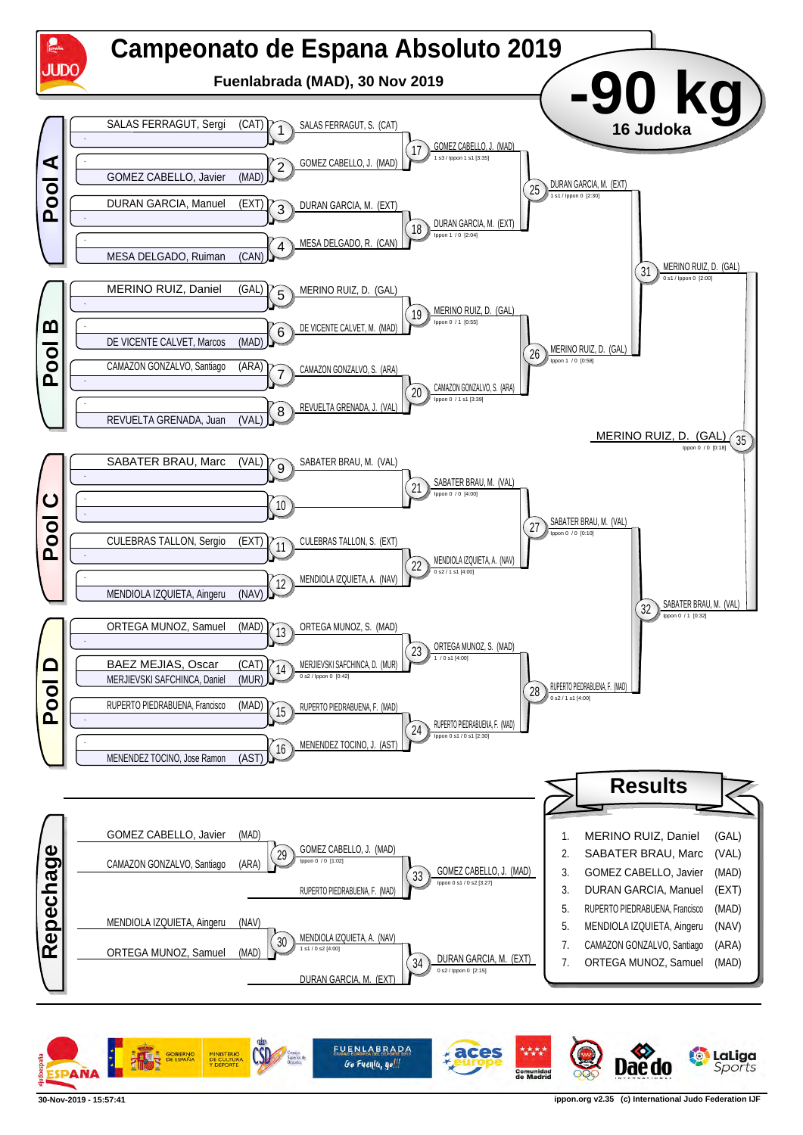

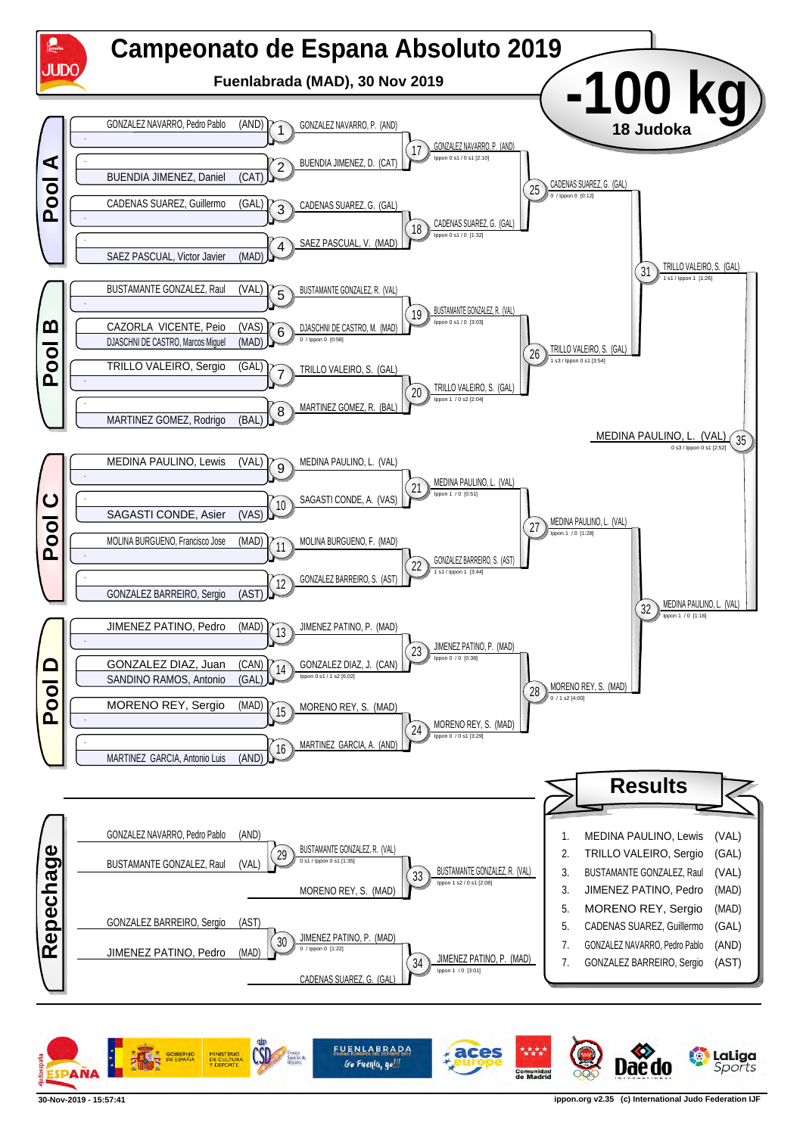

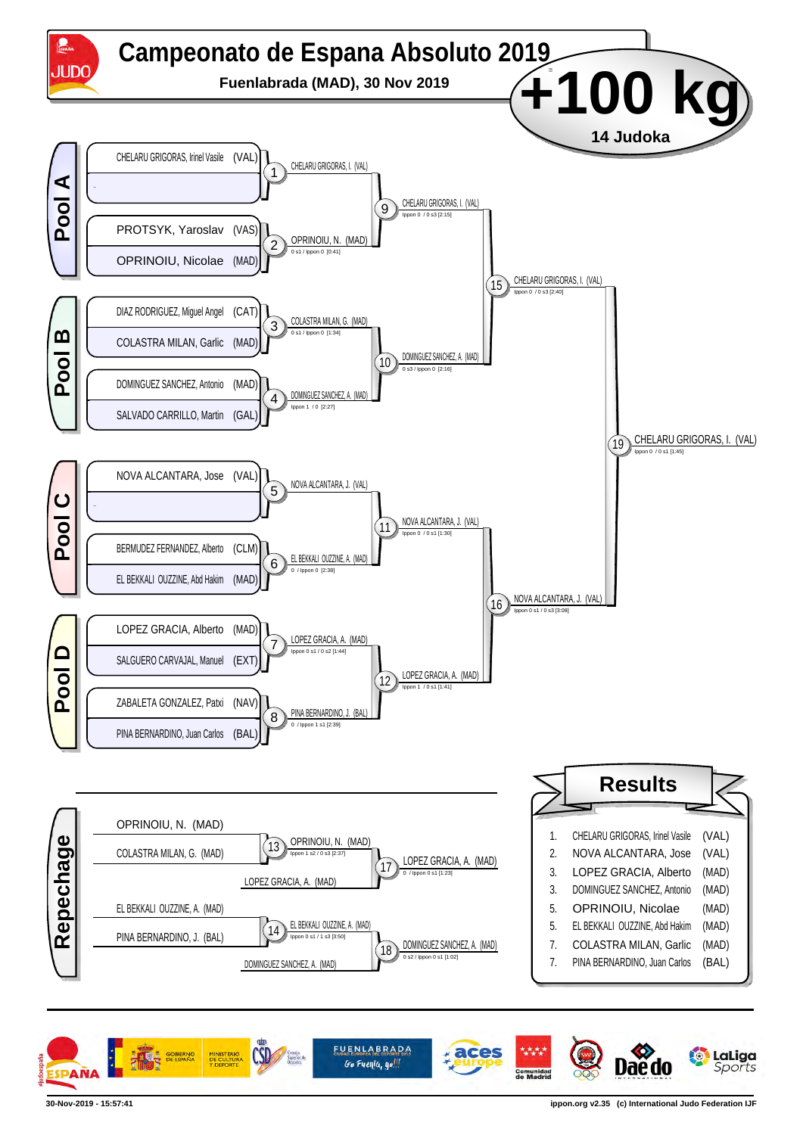

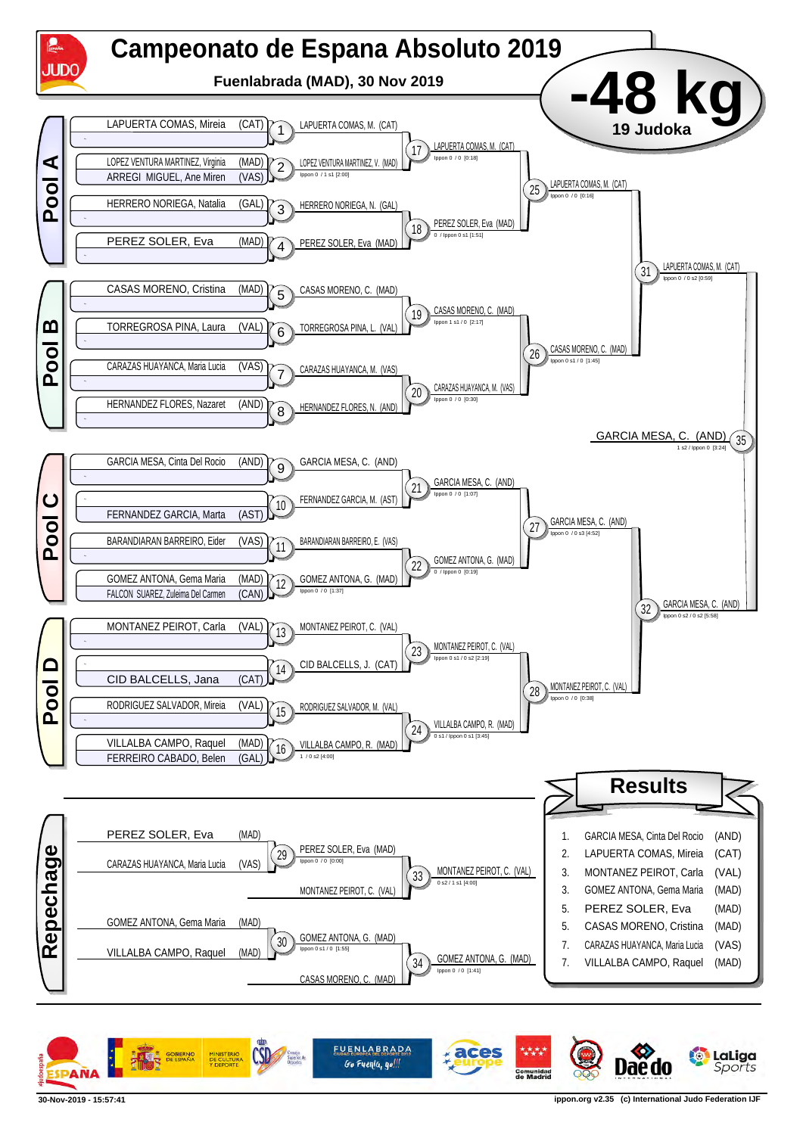

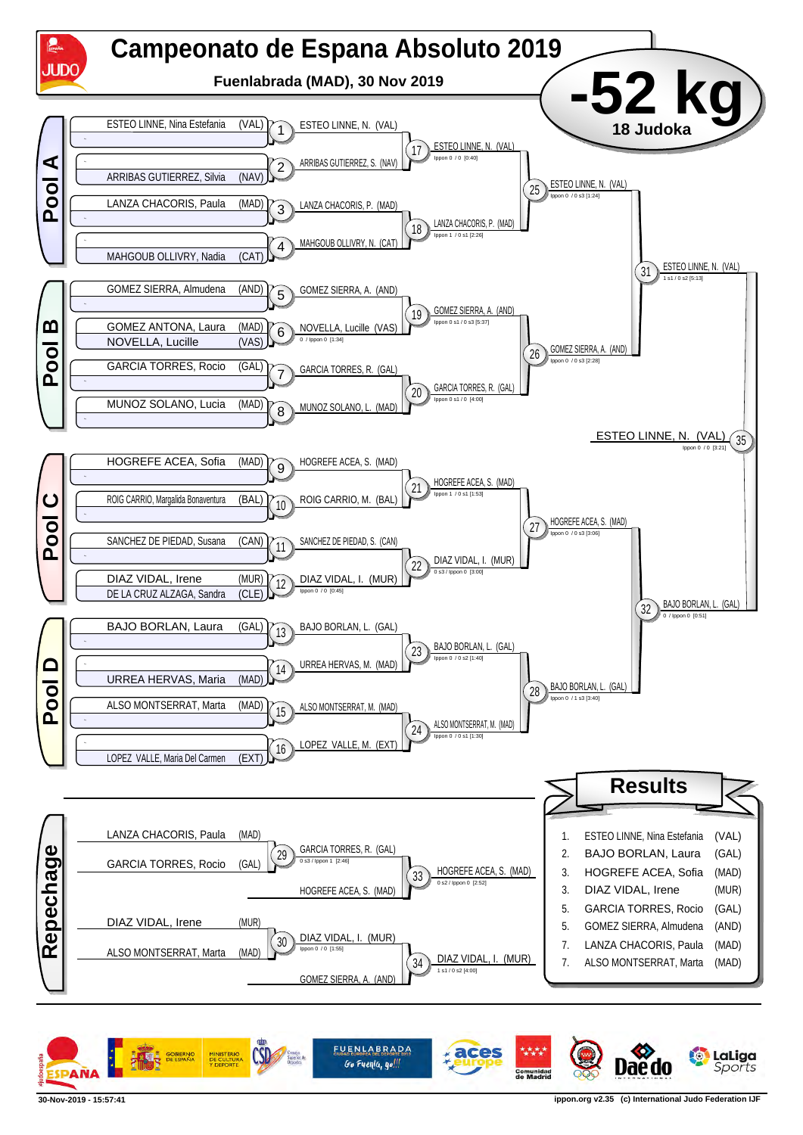

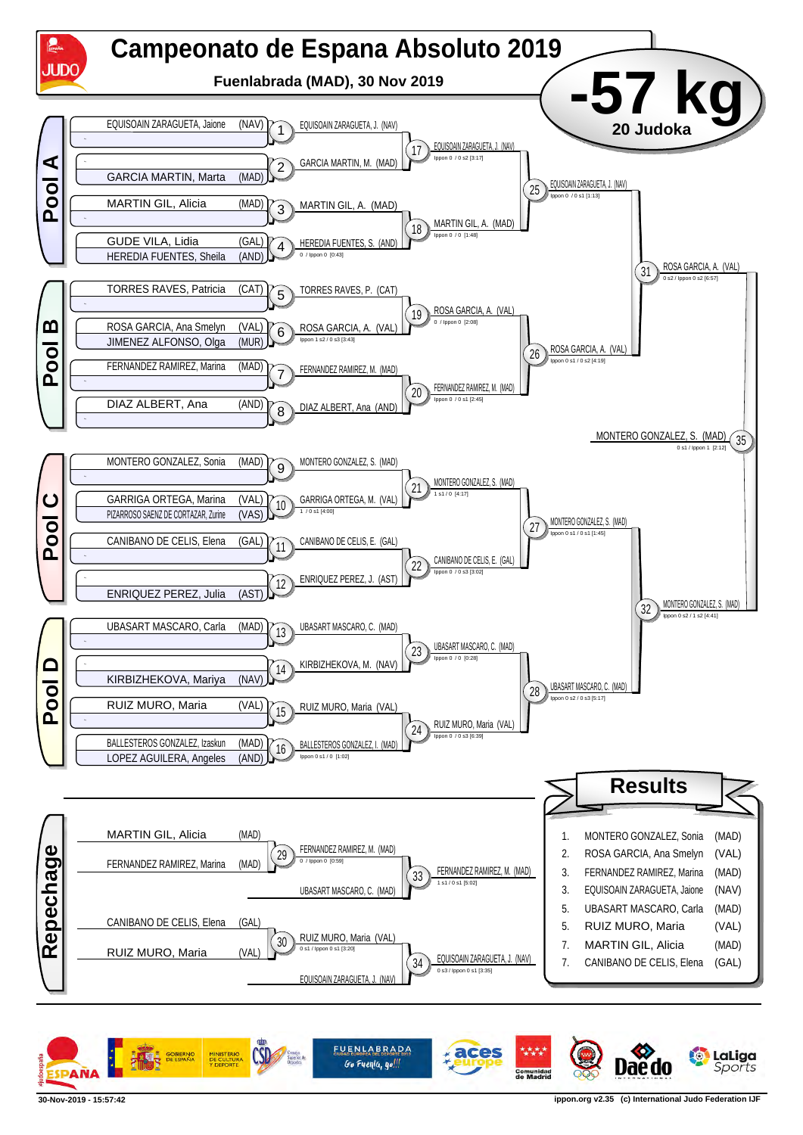

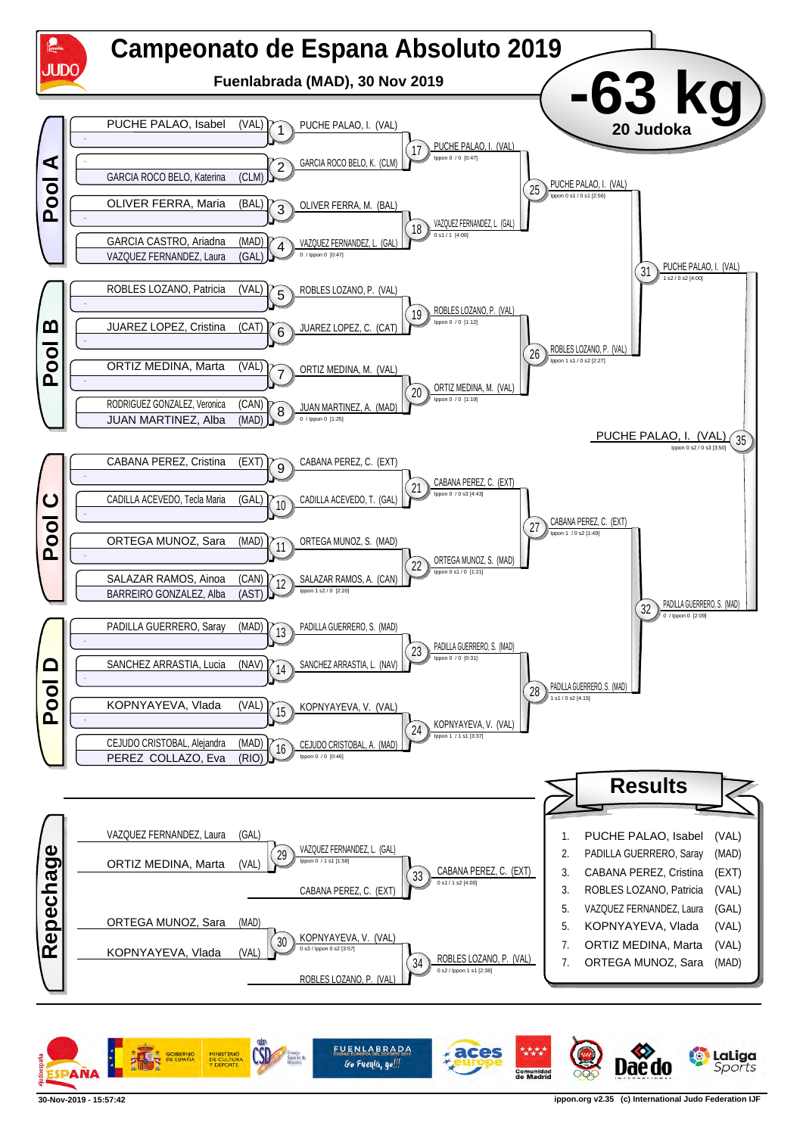

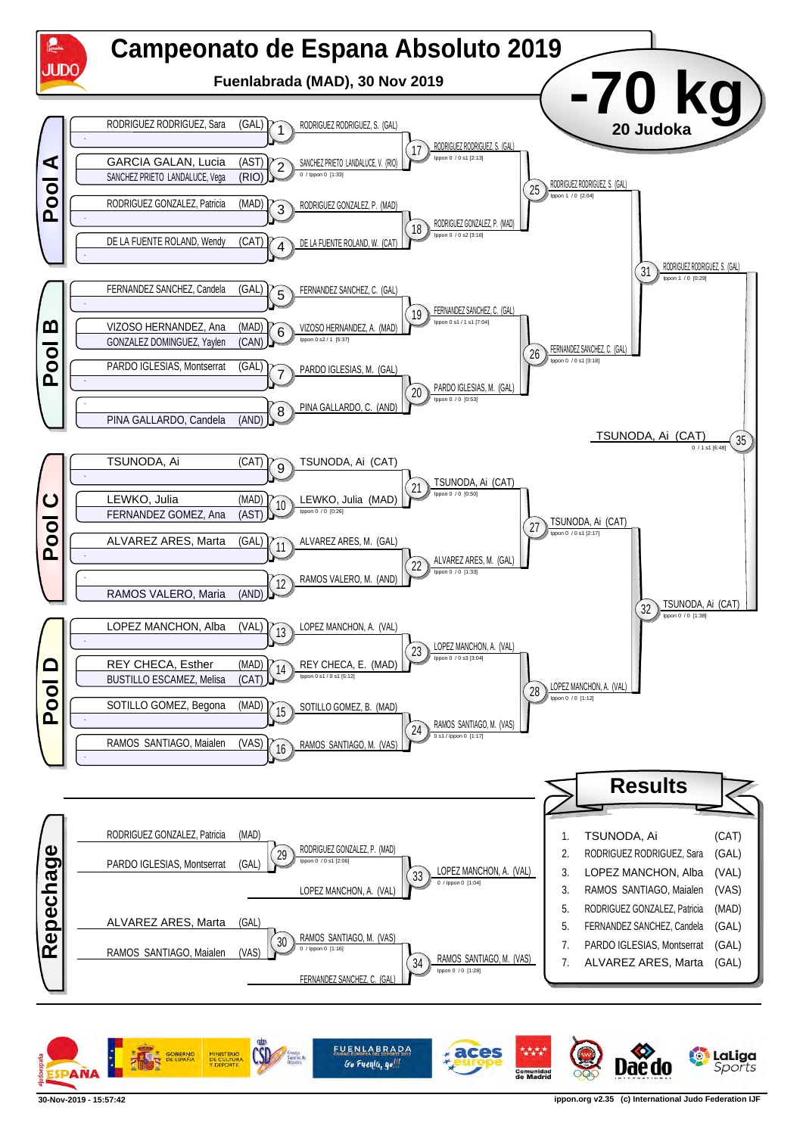

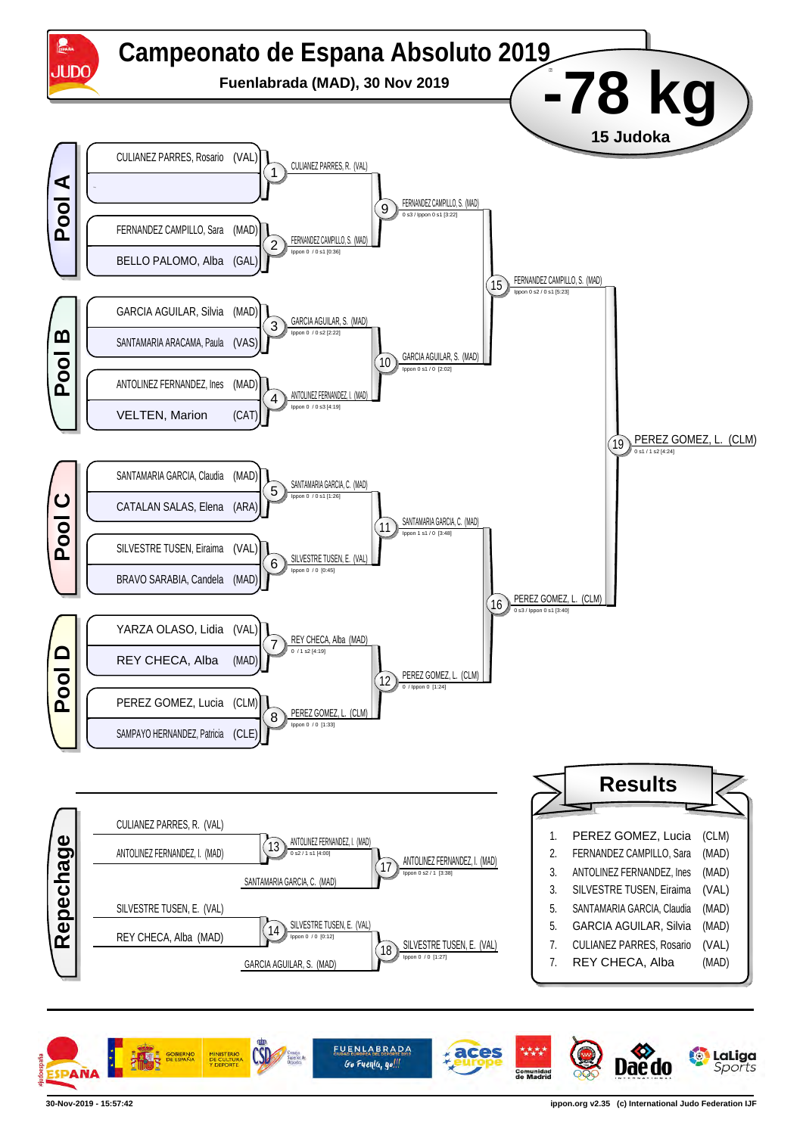